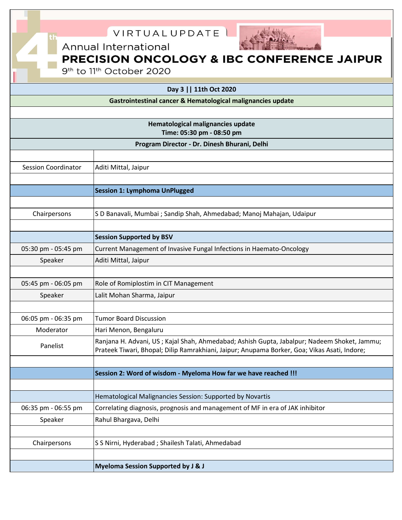| VIRTUALUPDATE<br>Annual International<br>PRECISION ONCOLOGY & IBC CONFERENCE JAIPUR<br>9 <sup>th</sup> to 11 <sup>th</sup> October 2020<br>Day 3     11th Oct 2020<br>Gastrointestinal cancer & Hematological malignancies update |                                                                                              |  |
|-----------------------------------------------------------------------------------------------------------------------------------------------------------------------------------------------------------------------------------|----------------------------------------------------------------------------------------------|--|
| Hematological malignancies update<br>Time: 05:30 pm - 08:50 pm                                                                                                                                                                    |                                                                                              |  |
| Program Director - Dr. Dinesh Bhurani, Delhi                                                                                                                                                                                      |                                                                                              |  |
|                                                                                                                                                                                                                                   |                                                                                              |  |
| <b>Session Coordinator</b>                                                                                                                                                                                                        | Aditi Mittal, Jaipur                                                                         |  |
|                                                                                                                                                                                                                                   |                                                                                              |  |
|                                                                                                                                                                                                                                   | <b>Session 1: Lymphoma UnPlugged</b>                                                         |  |
|                                                                                                                                                                                                                                   |                                                                                              |  |
| Chairpersons                                                                                                                                                                                                                      | S D Banavali, Mumbai ; Sandip Shah, Ahmedabad; Manoj Mahajan, Udaipur                        |  |
|                                                                                                                                                                                                                                   |                                                                                              |  |
|                                                                                                                                                                                                                                   | <b>Session Supported by BSV</b>                                                              |  |
| 05:30 pm - 05:45 pm                                                                                                                                                                                                               | Current Management of Invasive Fungal Infections in Haemato-Oncology                         |  |
| Speaker                                                                                                                                                                                                                           | Aditi Mittal, Jaipur                                                                         |  |
|                                                                                                                                                                                                                                   |                                                                                              |  |
| 05:45 pm - 06:05 pm                                                                                                                                                                                                               | Role of Romiplostim in CIT Management                                                        |  |
| Speaker                                                                                                                                                                                                                           | Lalit Mohan Sharma, Jaipur                                                                   |  |
|                                                                                                                                                                                                                                   |                                                                                              |  |
| 06:05 pm - 06:35 pm                                                                                                                                                                                                               | <b>Tumor Board Discussion</b>                                                                |  |
| Moderator                                                                                                                                                                                                                         | Hari Menon, Bengaluru                                                                        |  |
| Panelist                                                                                                                                                                                                                          | Ranjana H. Advani, US; Kajal Shah, Ahmedabad; Ashish Gupta, Jabalpur; Nadeem Shoket, Jammu;  |  |
|                                                                                                                                                                                                                                   | Prateek Tiwari, Bhopal; Dilip Ramrakhiani, Jaipur; Anupama Borker, Goa; Vikas Asati, Indore; |  |
|                                                                                                                                                                                                                                   | Session 2: Word of wisdom - Myeloma How far we have reached !!!                              |  |
|                                                                                                                                                                                                                                   |                                                                                              |  |
|                                                                                                                                                                                                                                   | Hematological Malignancies Session: Supported by Novartis                                    |  |
| 06:35 pm - 06:55 pm                                                                                                                                                                                                               | Correlating diagnosis, prognosis and management of MF in era of JAK inhibitor                |  |
| Speaker                                                                                                                                                                                                                           | Rahul Bhargava, Delhi                                                                        |  |
|                                                                                                                                                                                                                                   |                                                                                              |  |
| Chairpersons                                                                                                                                                                                                                      | S S Nirni, Hyderabad ; Shailesh Talati, Ahmedabad                                            |  |
|                                                                                                                                                                                                                                   |                                                                                              |  |
|                                                                                                                                                                                                                                   | <b>Myeloma Session Supported by J &amp; J</b>                                                |  |